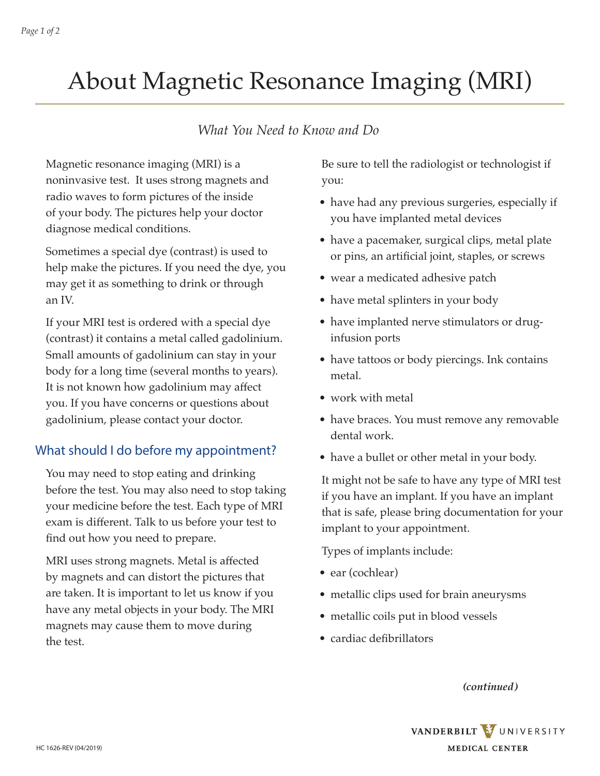# About Magnetic Resonance Imaging (MRI)

### *What You Need to Know and Do*

Magnetic resonance imaging (MRI) is a noninvasive test. It uses strong magnets and radio waves to form pictures of the inside of your body. The pictures help your doctor diagnose medical conditions.

Sometimes a special dye (contrast) is used to help make the pictures. If you need the dye, you may get it as something to drink or through an IV.

If your MRI test is ordered with a special dye (contrast) it contains a metal called gadolinium. Small amounts of gadolinium can stay in your body for a long time (several months to years). It is not known how gadolinium may affect you. If you have concerns or questions about gadolinium, please contact your doctor.

#### What should I do before my appointment?

You may need to stop eating and drinking before the test. You may also need to stop taking your medicine before the test. Each type of MRI exam is different. Talk to us before your test to find out how you need to prepare.

MRI uses strong magnets. Metal is affected by magnets and can distort the pictures that are taken. It is important to let us know if you have any metal objects in your body. The MRI magnets may cause them to move during the test.

Be sure to tell the radiologist or technologist if you:

- have had any previous surgeries, especially if you have implanted metal devices
- have a pacemaker, surgical clips, metal plate or pins, an artificial joint, staples, or screws
- wear a medicated adhesive patch
- have metal splinters in your body
- have implanted nerve stimulators or druginfusion ports
- have tattoos or body piercings. Ink contains metal.
- work with metal
- have braces. You must remove any removable dental work.
- have a bullet or other metal in your body.

It might not be safe to have any type of MRI test if you have an implant. If you have an implant that is safe, please bring documentation for your implant to your appointment.

Types of implants include:

- ear (cochlear)
- metallic clips used for brain aneurysms
- metallic coils put in blood vessels
- cardiac defibrillators

*(continued)*